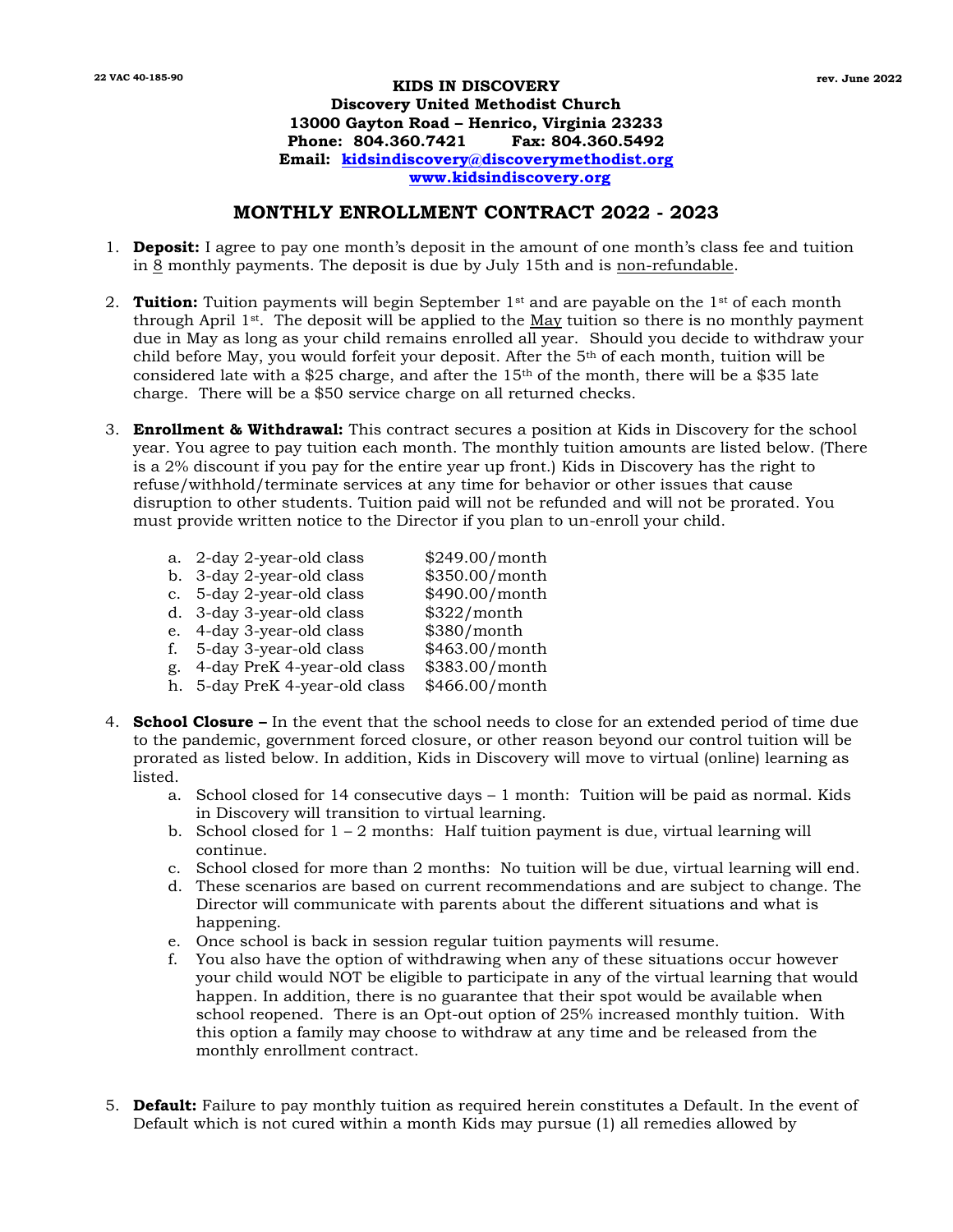## **KIDS IN DISCOVERY 22 VAC 40-185-90 rev. June 2022Discovery United Methodist Church 13000 Gayton Road – Henrico, Virginia 23233 Phone: 804.360.7421 Fax: 804.360.5492 Email: [kidsindiscovery@discoverymethodist.org](mailto:kidsindiscovery@discoverymethodist.org) [www.kidsindiscovery.org](http://www.kidsindiscovery.org/)**

## **MONTHLY ENROLLMENT CONTRACT 2022 - 2023**

- 1. **Deposit:** I agree to pay one month's deposit in the amount of one month's class fee and tuition in  $\overline{8}$  monthly payments. The deposit is due by July 15th and is non-refundable.
- 2. **Tuition:** Tuition payments will begin September 1<sup>st</sup> and are payable on the 1<sup>st</sup> of each month through April  $1^{st}$ . The deposit will be applied to the May tuition so there is no monthly payment due in May as long as your child remains enrolled all year. Should you decide to withdraw your child before May, you would forfeit your deposit. After the 5th of each month, tuition will be considered late with a \$25 charge, and after the  $15<sup>th</sup>$  of the month, there will be a \$35 late charge. There will be a \$50 service charge on all returned checks.
- 3. **Enrollment & Withdrawal:** This contract secures a position at Kids in Discovery for the school year. You agree to pay tuition each month. The monthly tuition amounts are listed below. (There is a 2% discount if you pay for the entire year up front.) Kids in Discovery has the right to refuse/withhold/terminate services at any time for behavior or other issues that cause disruption to other students. Tuition paid will not be refunded and will not be prorated. You must provide written notice to the Director if you plan to un-enroll your child.

|    | a. 2-day 2-year-old class      | \$249.00/month |
|----|--------------------------------|----------------|
|    | b. 3-day 2-year-old class      | \$350.00/month |
|    | c. 5-day 2-year-old class      | \$490.00/month |
|    | d. 3-day 3-year-old class      | \$322/month    |
|    | e. 4-day 3-year-old class      | \$380/month    |
| f. | 5-day 3-year-old class         | \$463.00/month |
| g. | 4-day PreK 4-year-old class    | \$383.00/month |
|    | h. 5-day PreK 4-year-old class | \$466.00/month |
|    |                                |                |

- 4. **School Closure –** In the event that the school needs to close for an extended period of time due to the pandemic, government forced closure, or other reason beyond our control tuition will be prorated as listed below. In addition, Kids in Discovery will move to virtual (online) learning as listed.
	- a. School closed for 14 consecutive days 1 month: Tuition will be paid as normal. Kids in Discovery will transition to virtual learning.
	- b. School closed for  $1 2$  months: Half tuition payment is due, virtual learning will continue.
	- c. School closed for more than 2 months: No tuition will be due, virtual learning will end.
	- d. These scenarios are based on current recommendations and are subject to change. The Director will communicate with parents about the different situations and what is happening.
	- e. Once school is back in session regular tuition payments will resume.
	- f. You also have the option of withdrawing when any of these situations occur however your child would NOT be eligible to participate in any of the virtual learning that would happen. In addition, there is no guarantee that their spot would be available when school reopened. There is an Opt-out option of 25% increased monthly tuition. With this option a family may choose to withdraw at any time and be released from the monthly enrollment contract.
- 5. **Default:** Failure to pay monthly tuition as required herein constitutes a Default. In the event of Default which is not cured within a month Kids may pursue (1) all remedies allowed by